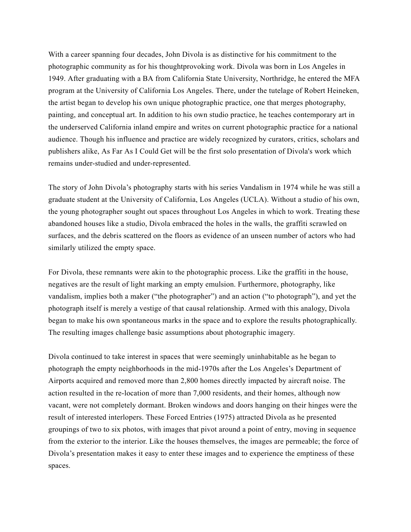With a career spanning four decades, John Divola is as distinctive for his commitment to the photographic community as for his thoughtprovoking work. Divola was born in Los Angeles in 1949. After graduating with a BA from California State University, Northridge, he entered the MFA program at the University of California Los Angeles. There, under the tutelage of Robert Heineken, the artist began to develop his own unique photographic practice, one that merges photography, painting, and conceptual art. In addition to his own studio practice, he teaches contemporary art in the underserved California inland empire and writes on current photographic practice for a national audience. Though his influence and practice are widely recognized by curators, critics, scholars and publishers alike, As Far As I Could Get will be the first solo presentation of Divola's work which remains under-studied and under-represented.

The story of John Divola's photography starts with his series Vandalism in 1974 while he was still a graduate student at the University of California, Los Angeles (UCLA). Without a studio of his own, the young photographer sought out spaces throughout Los Angeles in which to work. Treating these abandoned houses like a studio, Divola embraced the holes in the walls, the graffiti scrawled on surfaces, and the debris scattered on the floors as evidence of an unseen number of actors who had similarly utilized the empty space.

For Divola, these remnants were akin to the photographic process. Like the graffiti in the house, negatives are the result of light marking an empty emulsion. Furthermore, photography, like vandalism, implies both a maker ("the photographer") and an action ("to photograph"), and yet the photograph itself is merely a vestige of that causal relationship. Armed with this analogy, Divola began to make his own spontaneous marks in the space and to explore the results photographically. The resulting images challenge basic assumptions about photographic imagery.

Divola continued to take interest in spaces that were seemingly uninhabitable as he began to photograph the empty neighborhoods in the mid-1970s after the Los Angeles's Department of Airports acquired and removed more than 2,800 homes directly impacted by aircraft noise. The action resulted in the re-location of more than 7,000 residents, and their homes, although now vacant, were not completely dormant. Broken windows and doors hanging on their hinges were the result of interested interlopers. These Forced Entries (1975) attracted Divola as he presented groupings of two to six photos, with images that pivot around a point of entry, moving in sequence from the exterior to the interior. Like the houses themselves, the images are permeable; the force of Divola's presentation makes it easy to enter these images and to experience the emptiness of these spaces.